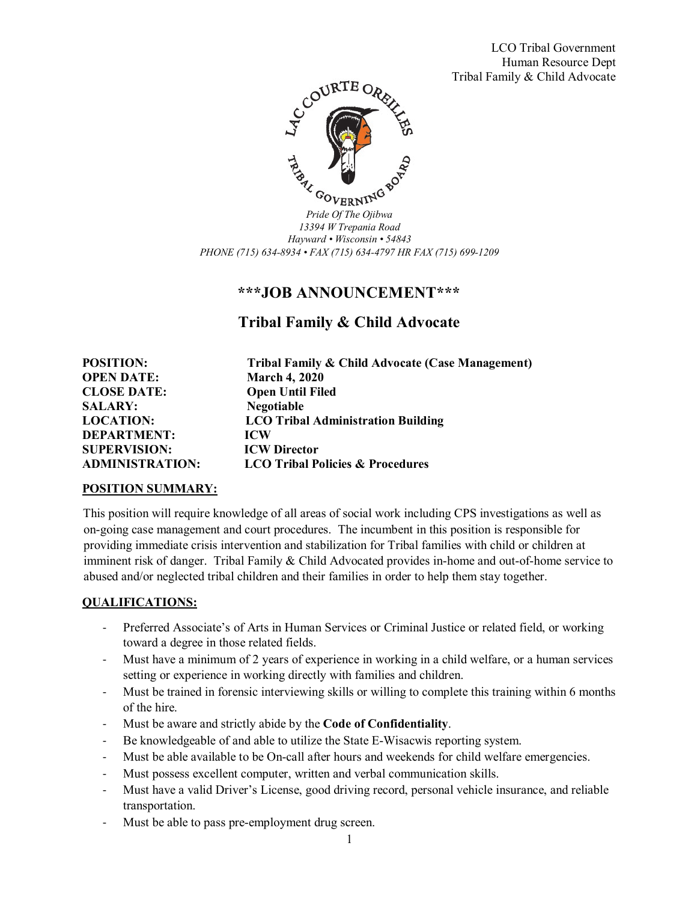LCO Tribal Government Human Resource Dept Tribal Family & Child Advocate



*13394 W Trepania Road Hayward • Wisconsin • 54843 PHONE (715) 634-8934 • FAX (715) 634-4797 HR FAX (715) 699-1209*

## **\*\*\*JOB ANNOUNCEMENT\*\*\***

# **Tribal Family & Child Advocate**

**POSITION: Tribal Family & Child Advocate (Case Management) OPEN DATE: March 4, 2020 CLOSE DATE: Open Until Filed SALARY: Negotiable LOCATION: LCO Tribal Administration Building DEPARTMENT: ICW SUPERVISION: ICW Director LCO Tribal Policies & Procedures** 

#### **POSITION SUMMARY:**

This position will require knowledge of all areas of social work including CPS investigations as well as on-going case management and court procedures. The incumbent in this position is responsible for providing immediate crisis intervention and stabilization for Tribal families with child or children at imminent risk of danger. Tribal Family & Child Advocated provides in-home and out-of-home service to abused and/or neglected tribal children and their families in order to help them stay together.

#### **QUALIFICATIONS:**

- Preferred Associate's of Arts in Human Services or Criminal Justice or related field, or working toward a degree in those related fields.
- Must have a minimum of 2 years of experience in working in a child welfare, or a human services setting or experience in working directly with families and children.
- Must be trained in forensic interviewing skills or willing to complete this training within 6 months of the hire.
- Must be aware and strictly abide by the **Code of Confidentiality**.
- Be knowledgeable of and able to utilize the State E-Wisacwis reporting system.
- Must be able available to be On-call after hours and weekends for child welfare emergencies.
- Must possess excellent computer, written and verbal communication skills.
- Must have a valid Driver's License, good driving record, personal vehicle insurance, and reliable transportation.
- Must be able to pass pre-employment drug screen.